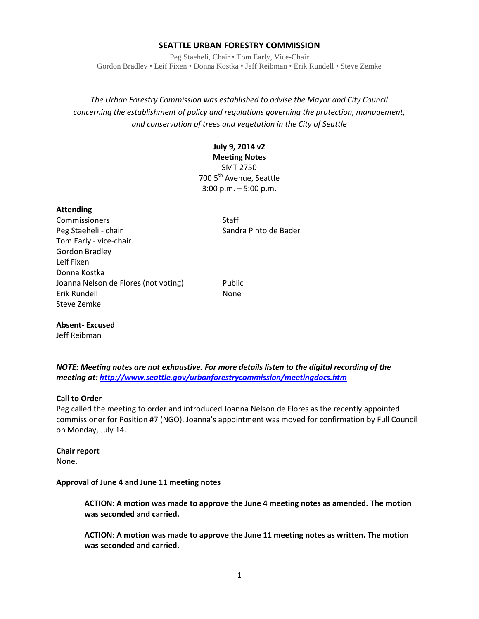## **SEATTLE URBAN FORESTRY COMMISSION**

Peg Staeheli, Chair • Tom Early, Vice-Chair Gordon Bradley • Leif Fixen • Donna Kostka • Jeff Reibman • Erik Rundell • Steve Zemke

*The Urban Forestry Commission was established to advise the Mayor and City Council concerning the establishment of policy and regulations governing the protection, management, and conservation of trees and vegetation in the City of Seattle*

# **July 9, 2014 v2**

**Meeting Notes** SMT 2750 700 5<sup>th</sup> Avenue, Seattle 3:00 p.m. – 5:00 p.m.

### **Attending**

Commissioners Staff Peg Staeheli - chair Sandra Pinto de Bader Tom Early - vice-chair Gordon Bradley Leif Fixen Donna Kostka Joanna Nelson de Flores (not voting) Public Erik Rundell None Steve Zemke

### **Absent- Excused**

Jeff Reibman

*NOTE: Meeting notes are not exhaustive. For more details listen to the digital recording of the meeting at[: http://www.seattle.gov/urbanforestrycommission/meetingdocs.htm](http://www.seattle.gov/urbanforestrycommission/meetingdocs.htm)*

### **Call to Order**

Peg called the meeting to order and introduced Joanna Nelson de Flores as the recently appointed commissioner for Position #7 (NGO). Joanna's appointment was moved for confirmation by Full Council on Monday, July 14.

### **Chair report** None.

#### **Approval of June 4 and June 11 meeting notes**

**ACTION**: **A motion was made to approve the June 4 meeting notes as amended. The motion was seconded and carried.** 

**ACTION**: **A motion was made to approve the June 11 meeting notes as written. The motion was seconded and carried.**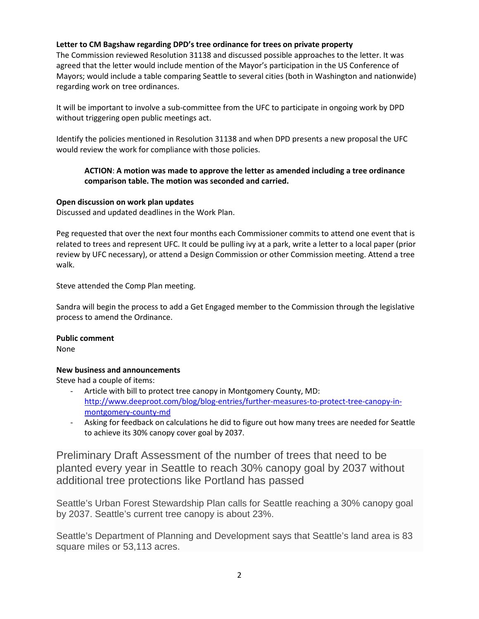# **Letter to CM Bagshaw regarding DPD's tree ordinance for trees on private property**

The Commission reviewed Resolution 31138 and discussed possible approaches to the letter. It was agreed that the letter would include mention of the Mayor's participation in the US Conference of Mayors; would include a table comparing Seattle to several cities (both in Washington and nationwide) regarding work on tree ordinances.

It will be important to involve a sub-committee from the UFC to participate in ongoing work by DPD without triggering open public meetings act.

Identify the policies mentioned in Resolution 31138 and when DPD presents a new proposal the UFC would review the work for compliance with those policies.

# **ACTION**: **A motion was made to approve the letter as amended including a tree ordinance comparison table. The motion was seconded and carried.**

# **Open discussion on work plan updates**

Discussed and updated deadlines in the Work Plan.

Peg requested that over the next four months each Commissioner commits to attend one event that is related to trees and represent UFC. It could be pulling ivy at a park, write a letter to a local paper (prior review by UFC necessary), or attend a Design Commission or other Commission meeting. Attend a tree walk.

Steve attended the Comp Plan meeting.

Sandra will begin the process to add a Get Engaged member to the Commission through the legislative process to amend the Ordinance.

### **Public comment**

None

# **New business and announcements**

Steve had a couple of items:

- Article with bill to protect tree canopy in Montgomery County, MD: [http://www.deeproot.com/blog/blog-entries/further-measures-to-protect-tree-canopy-in](http://www.deeproot.com/blog/blog-entries/further-measures-to-protect-tree-canopy-in-montgomery-county-md)[montgomery-county-md](http://www.deeproot.com/blog/blog-entries/further-measures-to-protect-tree-canopy-in-montgomery-county-md)
- Asking for feedback on calculations he did to figure out how many trees are needed for Seattle to achieve its 30% canopy cover goal by 2037.

Preliminary Draft Assessment of the number of trees that need to be planted every year in Seattle to reach 30% canopy goal by 2037 without additional tree protections like Portland has passed

Seattle's Urban Forest Stewardship Plan calls for Seattle reaching a 30% canopy goal by 2037. Seattle's current tree canopy is about 23%.

Seattle's Department of Planning and Development says that Seattle's land area is 83 square miles or 53,113 acres.